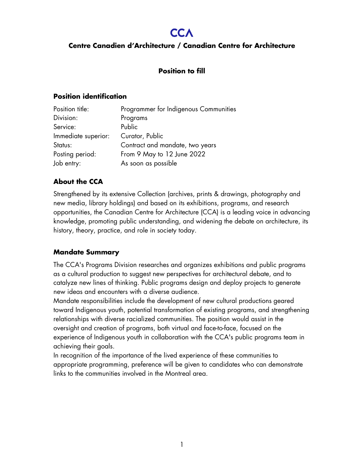# **CCA**

## **Centre Canadien d'Architecture / Canadian Centre for Architecture**

## **Position to fill**

#### **Position identification**

| Position title:     | Programmer for Indigenous Communities |
|---------------------|---------------------------------------|
| Division:           | Programs                              |
| Service:            | Public                                |
| Immediate superior: | Curator, Public                       |
| Status:             | Contract and mandate, two years       |
| Posting period:     | From 9 May to 12 June 2022            |
| Job entry:          | As soon as possible                   |

## **About the CCA**

Strengthened by its extensive Collection (archives, prints & drawings, photography and new media, library holdings) and based on its exhibitions, programs, and research opportunities, the Canadian Centre for Architecture (CCA) is a leading voice in advancing knowledge, promoting public understanding, and widening the debate on architecture, its history, theory, practice, and role in society today.

## **Mandate Summary**

The CCA's Programs Division researches and organizes exhibitions and public programs as a cultural production to suggest new perspectives for architectural debate, and to catalyze new lines of thinking. Public programs design and deploy projects to generate new ideas and encounters with a diverse audience.

Mandate responsibilities include the development of new cultural productions geared toward Indigenous youth, potential transformation of existing programs, and strengthening relationships with diverse racialized communities. The position would assist in the oversight and creation of programs, both virtual and face-to-face, focused on the experience of Indigenous youth in collaboration with the CCA's public programs team in achieving their goals.

In recognition of the importance of the lived experience of these communities to appropriate programming, preference will be given to candidates who can demonstrate links to the communities involved in the Montreal area.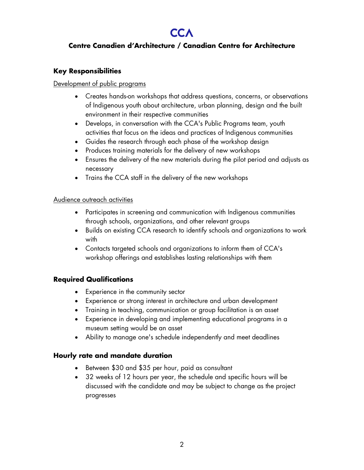# **CCA**

# **Centre Canadien d'Architecture / Canadian Centre for Architecture**

# **Key Responsibilities**

### Development of public programs

- Creates hands-on workshops that address questions, concerns, or observations of Indigenous youth about architecture, urban planning, design and the built environment in their respective communities
- Develops, in conversation with the CCA's Public Programs team, youth activities that focus on the ideas and practices of Indigenous communities
- Guides the research through each phase of the workshop design
- Produces training materials for the delivery of new workshops
- Ensures the delivery of the new materials during the pilot period and adjusts as necessary
- Trains the CCA staff in the delivery of the new workshops

#### Audience outreach activities

- Participates in screening and communication with Indigenous communities through schools, organizations, and other relevant groups
- Builds on existing CCA research to identify schools and organizations to work with
- Contacts targeted schools and organizations to inform them of CCA's workshop offerings and establishes lasting relationships with them

## **Required Qualifications**

- Experience in the community sector
- Experience or strong interest in architecture and urban development
- Training in teaching, communication or group facilitation is an asset
- Experience in developing and implementing educational programs in a museum setting would be an asset
- Ability to manage one's schedule independently and meet deadlines

## **Hourly rate and mandate duration**

- Between \$30 and \$35 per hour, paid as consultant
- 32 weeks of 12 hours per year, the schedule and specific hours will be discussed with the candidate and may be subject to change as the project progresses